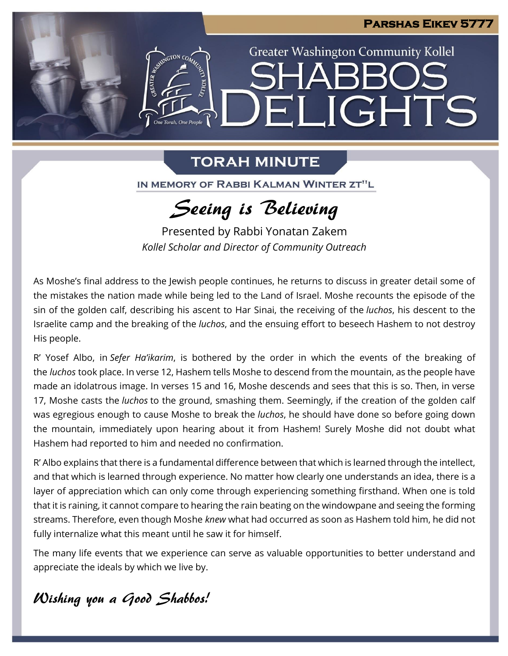**Greater Washington Community Kollel** 

ELIGHTS

### **TORAH MINUTE**

One Torah. One People

IN MEMORY OF RABBI KALMAN WINTER ZT"L

# Seeing is Believing

Presented by Rabbi Yonatan Zakem *Kollel Scholar and Director of Community Outreach*

As Moshe's final address to the Jewish people continues, he returns to discuss in greater detail some of the mistakes the nation made while being led to the Land of Israel. Moshe recounts the episode of the sin of the golden calf, describing his ascent to Har Sinai, the receiving of the *luchos*, his descent to the Israelite camp and the breaking of the *luchos*, and the ensuing effort to beseech Hashem to not destroy His people.

R' Yosef Albo, in *Sefer Ha'ikarim*, is bothered by the order in which the events of the breaking of the *luchos* took place. In verse 12, Hashem tells Moshe to descend from the mountain, as the people have made an idolatrous image. In verses 15 and 16, Moshe descends and sees that this is so. Then, in verse 17, Moshe casts the *luchos* to the ground, smashing them. Seemingly, if the creation of the golden calf was egregious enough to cause Moshe to break the *luchos*, he should have done so before going down the mountain, immediately upon hearing about it from Hashem! Surely Moshe did not doubt what Hashem had reported to him and needed no confirmation.

R' Albo explains that there is a fundamental difference between that which is learned through the intellect, and that which is learned through experience. No matter how clearly one understands an idea, there is a layer of appreciation which can only come through experiencing something firsthand. When one is told that it is raining, it cannot compare to hearing the rain beating on the windowpane and seeing the forming streams. Therefore, even though Moshe *knew* what had occurred as soon as Hashem told him, he did not fully internalize what this meant until he saw it for himself.

The many life events that we experience can serve as valuable opportunities to better understand and appreciate the ideals by which we live by.

### Wishing you a Good Shabbos!